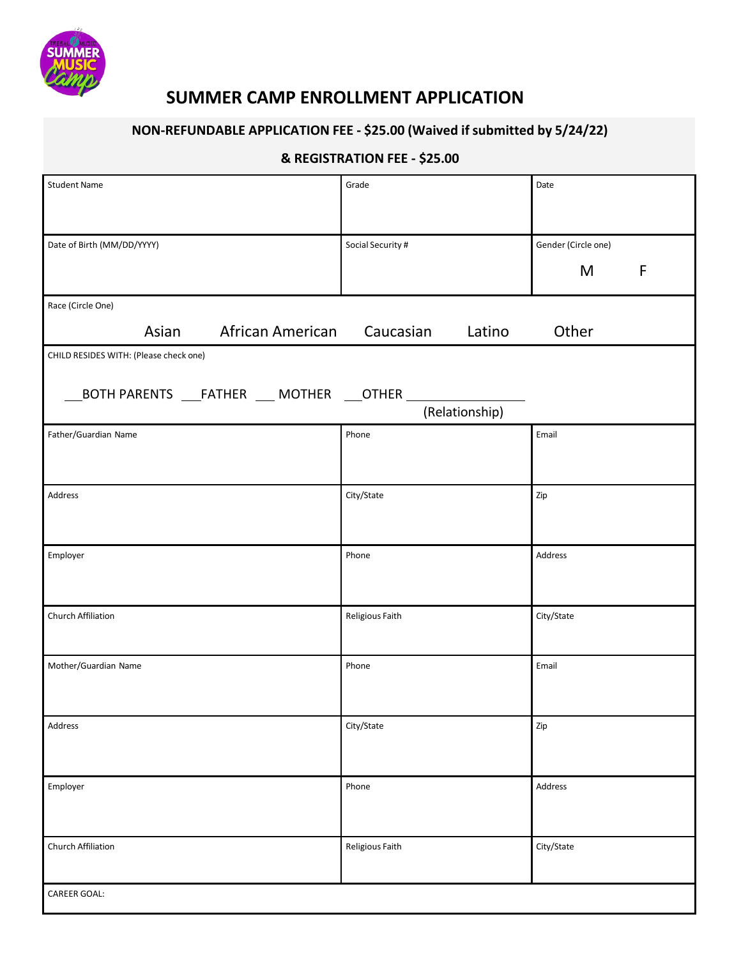

## **SUMMER CAMP ENROLLMENT APPLICATION**

## **NON-REFUNDABLE APPLICATION FEE - \$25.00 (Waived if submitted by 5/24/22)**

#### **& REGISTRATION FEE - \$25.00**

| <b>Student Name</b>                                  | Grade             | Date                |  |
|------------------------------------------------------|-------------------|---------------------|--|
|                                                      |                   |                     |  |
|                                                      |                   |                     |  |
| Date of Birth (MM/DD/YYYY)                           | Social Security # | Gender (Circle one) |  |
|                                                      |                   | $\mathsf{F}$<br>M   |  |
|                                                      |                   |                     |  |
| Race (Circle One)                                    |                   |                     |  |
| African American<br>Asian                            | Caucasian Latino  | Other               |  |
| CHILD RESIDES WITH: (Please check one)               |                   |                     |  |
|                                                      |                   |                     |  |
| _BOTH PARENTS ____FATHER ____ MOTHER ____OTHER _____ |                   |                     |  |
|                                                      | (Relationship)    |                     |  |
| Father/Guardian Name                                 | Phone             | Email               |  |
|                                                      |                   |                     |  |
|                                                      |                   |                     |  |
| Address                                              | City/State        | Zip                 |  |
|                                                      |                   |                     |  |
|                                                      |                   |                     |  |
| Employer                                             | Phone             | Address             |  |
|                                                      |                   |                     |  |
|                                                      |                   |                     |  |
| Church Affiliation                                   | Religious Faith   | City/State          |  |
|                                                      |                   |                     |  |
|                                                      |                   |                     |  |
| Mother/Guardian Name                                 | Phone             | Email               |  |
|                                                      |                   |                     |  |
|                                                      |                   |                     |  |
| Address                                              | City/State        | Zip                 |  |
|                                                      |                   |                     |  |
|                                                      |                   |                     |  |
| Employer                                             | Phone             | Address             |  |
|                                                      |                   |                     |  |
|                                                      |                   |                     |  |
| Church Affiliation                                   | Religious Faith   | City/State          |  |
|                                                      |                   |                     |  |
| CAREER GOAL:                                         |                   |                     |  |
|                                                      |                   |                     |  |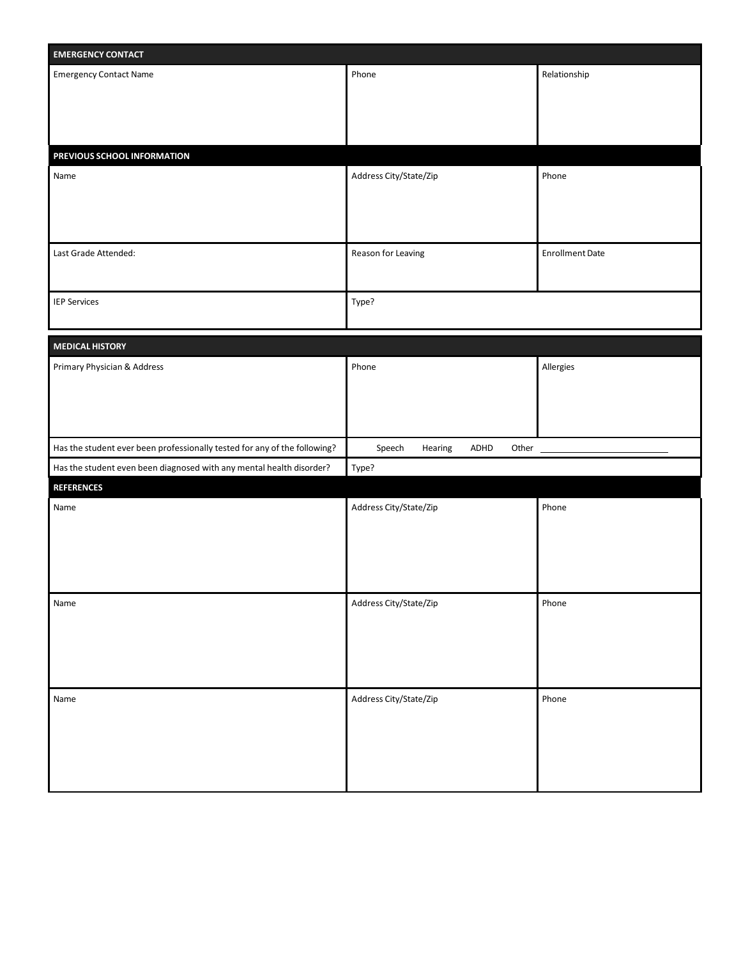| <b>EMERGENCY CONTACT</b>                                                  |                                    |                        |  |
|---------------------------------------------------------------------------|------------------------------------|------------------------|--|
| <b>Emergency Contact Name</b>                                             | Phone                              | Relationship           |  |
|                                                                           |                                    |                        |  |
|                                                                           |                                    |                        |  |
|                                                                           |                                    |                        |  |
| PREVIOUS SCHOOL INFORMATION                                               |                                    |                        |  |
| Name                                                                      | Address City/State/Zip             | Phone                  |  |
|                                                                           |                                    |                        |  |
|                                                                           |                                    |                        |  |
|                                                                           |                                    |                        |  |
| Last Grade Attended:                                                      | Reason for Leaving                 | <b>Enrollment Date</b> |  |
|                                                                           |                                    |                        |  |
| <b>IEP Services</b>                                                       | Type?                              |                        |  |
|                                                                           |                                    |                        |  |
|                                                                           |                                    |                        |  |
| <b>MEDICAL HISTORY</b>                                                    |                                    |                        |  |
| Primary Physician & Address                                               | Phone                              | Allergies              |  |
|                                                                           |                                    |                        |  |
|                                                                           |                                    |                        |  |
|                                                                           |                                    |                        |  |
| Has the student ever been professionally tested for any of the following? | Speech<br>ADHD<br>Other<br>Hearing |                        |  |
| Has the student even been diagnosed with any mental health disorder?      | Type?                              |                        |  |
| <b>REFERENCES</b>                                                         |                                    |                        |  |
| Name                                                                      | Address City/State/Zip             | Phone                  |  |
|                                                                           |                                    |                        |  |
|                                                                           |                                    |                        |  |
|                                                                           |                                    |                        |  |
|                                                                           |                                    |                        |  |
| Name                                                                      | Address City/State/Zip             | Phone                  |  |
|                                                                           |                                    |                        |  |
|                                                                           |                                    |                        |  |
|                                                                           |                                    |                        |  |
| Name                                                                      | Address City/State/Zip             | Phone                  |  |
|                                                                           |                                    |                        |  |
|                                                                           |                                    |                        |  |
|                                                                           |                                    |                        |  |
|                                                                           |                                    |                        |  |
|                                                                           |                                    |                        |  |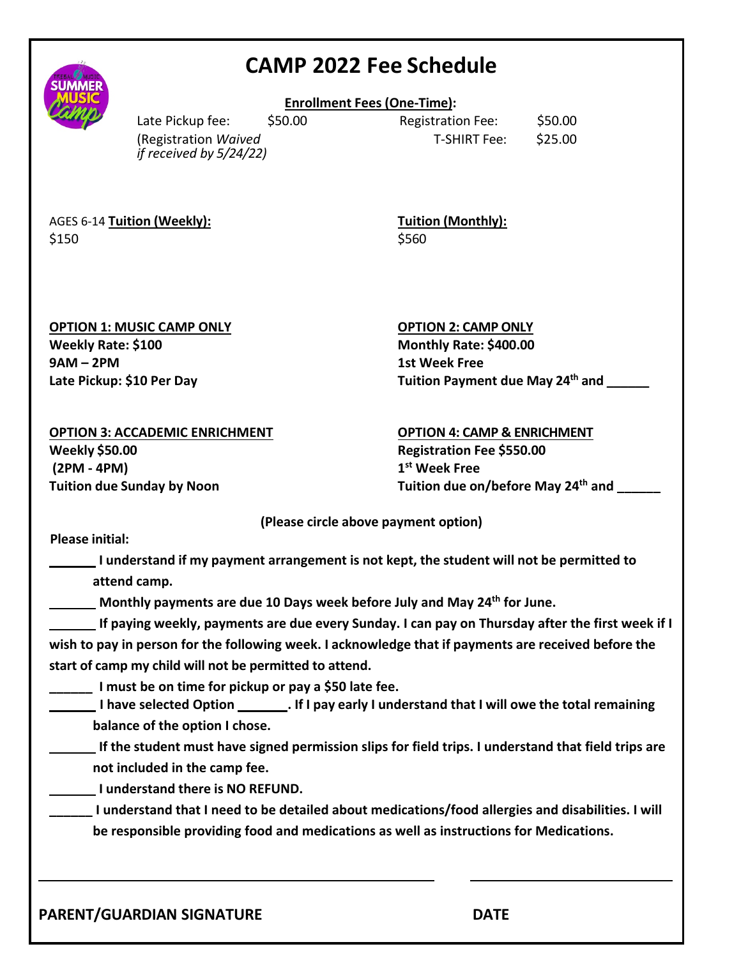|                                                                                                                    |                                                                                                                                                   |         | <b>CAMP 2022 Fee Schedule</b>                                                                                                                                                                                                                                                                                                                                                                |                    |  |
|--------------------------------------------------------------------------------------------------------------------|---------------------------------------------------------------------------------------------------------------------------------------------------|---------|----------------------------------------------------------------------------------------------------------------------------------------------------------------------------------------------------------------------------------------------------------------------------------------------------------------------------------------------------------------------------------------------|--------------------|--|
|                                                                                                                    |                                                                                                                                                   |         | <b>Enrollment Fees (One-Time):</b>                                                                                                                                                                                                                                                                                                                                                           |                    |  |
|                                                                                                                    | Late Pickup fee:<br>(Registration Waived<br>if received by 5/24/22)                                                                               | \$50.00 | <b>Registration Fee:</b><br><b>T-SHIRT Fee:</b>                                                                                                                                                                                                                                                                                                                                              | \$50.00<br>\$25.00 |  |
| AGES 6-14 Tuition (Weekly):<br>\$150                                                                               |                                                                                                                                                   |         | <b>Tuition (Monthly):</b><br>\$560                                                                                                                                                                                                                                                                                                                                                           |                    |  |
| <b>OPTION 1: MUSIC CAMP ONLY</b><br>Weekly Rate: \$100<br>$9AM - 2PM$<br>Late Pickup: \$10 Per Day                 |                                                                                                                                                   |         | <b>OPTION 2: CAMP ONLY</b><br>Monthly Rate: \$400.00<br><b>1st Week Free</b><br>Tuition Payment due May 24 <sup>th</sup> and                                                                                                                                                                                                                                                                 |                    |  |
| <b>OPTION 3: ACCADEMIC ENRICHMENT</b><br><b>Weekly \$50.00</b><br>(2PM - 4PM)<br><b>Tuition due Sunday by Noon</b> |                                                                                                                                                   |         | <b>OPTION 4: CAMP &amp; ENRICHMENT</b><br>Registration Fee \$550.00<br>1 <sup>st</sup> Week Free<br>Tuition due on/before May 24 <sup>th</sup> and                                                                                                                                                                                                                                           |                    |  |
|                                                                                                                    |                                                                                                                                                   |         | (Please circle above payment option)                                                                                                                                                                                                                                                                                                                                                         |                    |  |
| <b>Please initial:</b>                                                                                             | attend camp.                                                                                                                                      |         | I understand if my payment arrangement is not kept, the student will not be permitted to<br>Monthly payments are due 10 Days week before July and May 24 <sup>th</sup> for June.<br>If paying weekly, payments are due every Sunday. I can pay on Thursday after the first week if I<br>wish to pay in person for the following week. I acknowledge that if payments are received before the |                    |  |
|                                                                                                                    | start of camp my child will not be permitted to attend.<br>I must be on time for pickup or pay a \$50 late fee.<br>balance of the option I chose. |         | I have selected Option _________. If I pay early I understand that I will owe the total remaining<br>If the student must have signed permission slips for field trips. I understand that field trips are                                                                                                                                                                                     |                    |  |
|                                                                                                                    | not included in the camp fee.<br>I understand there is NO REFUND.                                                                                 |         | I understand that I need to be detailed about medications/food allergies and disabilities. I will<br>be responsible providing food and medications as well as instructions for Medications.                                                                                                                                                                                                  |                    |  |
|                                                                                                                    | PARENT/GUARDIAN SIGNATURE                                                                                                                         |         | <b>DATE</b>                                                                                                                                                                                                                                                                                                                                                                                  |                    |  |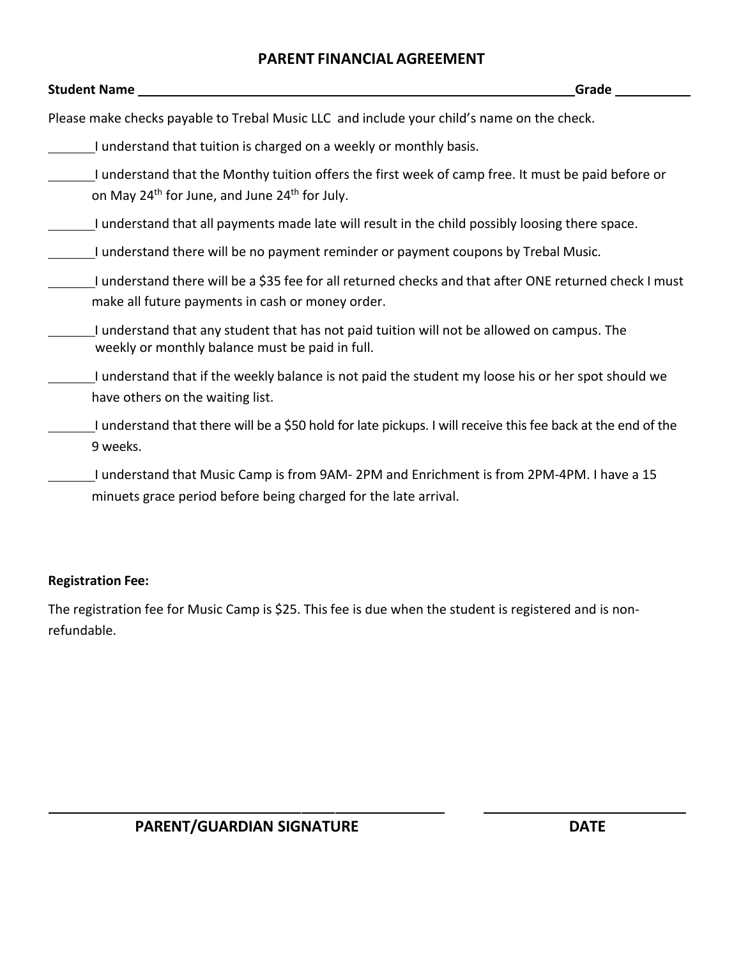#### **PARENT FINANCIAL AGREEMENT**

| <b>Student Name</b>                                                                                                                                                         | Grade |
|-----------------------------------------------------------------------------------------------------------------------------------------------------------------------------|-------|
| Please make checks payable to Trebal Music LLC and include your child's name on the check.                                                                                  |       |
| I understand that tuition is charged on a weekly or monthly basis.                                                                                                          |       |
| I understand that the Monthy tuition offers the first week of camp free. It must be paid before or<br>on May 24 <sup>th</sup> for June, and June 24 <sup>th</sup> for July. |       |
| I understand that all payments made late will result in the child possibly loosing there space.                                                                             |       |
| I understand there will be no payment reminder or payment coupons by Trebal Music.                                                                                          |       |
| I understand there will be a \$35 fee for all returned checks and that after ONE returned check I must<br>make all future payments in cash or money order.                  |       |
| I understand that any student that has not paid tuition will not be allowed on campus. The<br>weekly or monthly balance must be paid in full.                               |       |
| I understand that if the weekly balance is not paid the student my loose his or her spot should we<br>have others on the waiting list.                                      |       |
| I understand that there will be a \$50 hold for late pickups. I will receive this fee back at the end of the<br>9 weeks.                                                    |       |
| I understand that Music Camp is from 9AM- 2PM and Enrichment is from 2PM-4PM. I have a 15<br>minuets grace period before being charged for the late arrival.                |       |

#### **Registration Fee:**

The registration fee for Music Camp is \$25. This fee is due when the student is registered and is nonrefundable.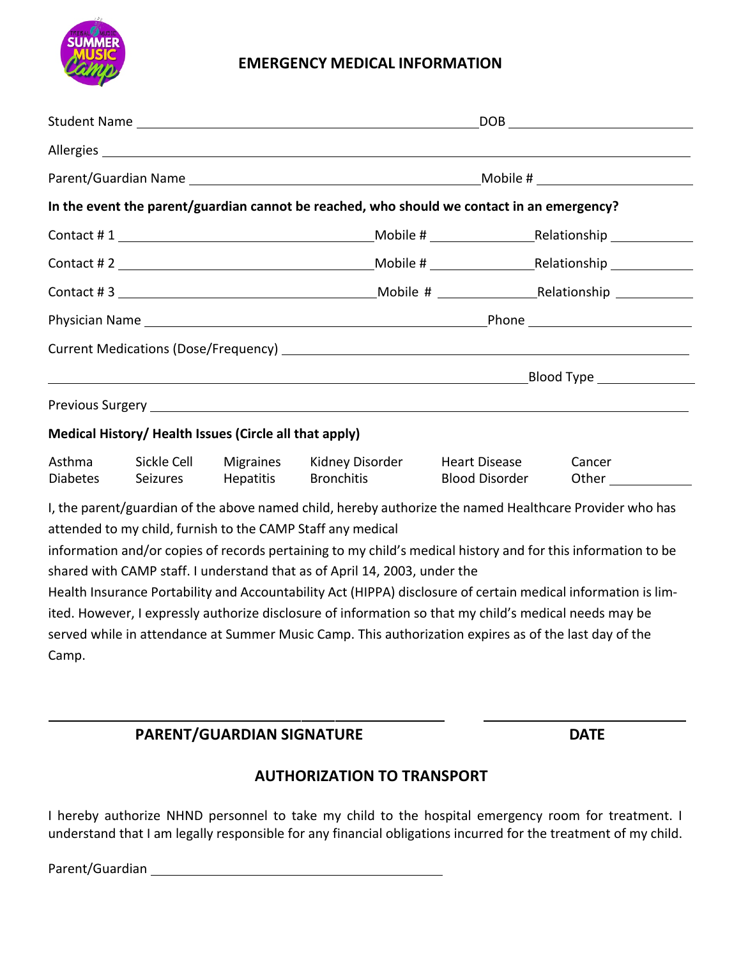

#### **EMERGENCY MEDICAL INFORMATION**

| DOB |                                                                                                                                            |                                                                                                                                                                                                                                                                                                                                                                                                                                                                                                                                                                                                                                                                                                                                                                                                                                                                                                                                                                                            |
|-----|--------------------------------------------------------------------------------------------------------------------------------------------|--------------------------------------------------------------------------------------------------------------------------------------------------------------------------------------------------------------------------------------------------------------------------------------------------------------------------------------------------------------------------------------------------------------------------------------------------------------------------------------------------------------------------------------------------------------------------------------------------------------------------------------------------------------------------------------------------------------------------------------------------------------------------------------------------------------------------------------------------------------------------------------------------------------------------------------------------------------------------------------------|
|     |                                                                                                                                            |                                                                                                                                                                                                                                                                                                                                                                                                                                                                                                                                                                                                                                                                                                                                                                                                                                                                                                                                                                                            |
|     |                                                                                                                                            |                                                                                                                                                                                                                                                                                                                                                                                                                                                                                                                                                                                                                                                                                                                                                                                                                                                                                                                                                                                            |
|     |                                                                                                                                            |                                                                                                                                                                                                                                                                                                                                                                                                                                                                                                                                                                                                                                                                                                                                                                                                                                                                                                                                                                                            |
|     |                                                                                                                                            |                                                                                                                                                                                                                                                                                                                                                                                                                                                                                                                                                                                                                                                                                                                                                                                                                                                                                                                                                                                            |
|     |                                                                                                                                            |                                                                                                                                                                                                                                                                                                                                                                                                                                                                                                                                                                                                                                                                                                                                                                                                                                                                                                                                                                                            |
|     |                                                                                                                                            |                                                                                                                                                                                                                                                                                                                                                                                                                                                                                                                                                                                                                                                                                                                                                                                                                                                                                                                                                                                            |
|     |                                                                                                                                            |                                                                                                                                                                                                                                                                                                                                                                                                                                                                                                                                                                                                                                                                                                                                                                                                                                                                                                                                                                                            |
|     |                                                                                                                                            |                                                                                                                                                                                                                                                                                                                                                                                                                                                                                                                                                                                                                                                                                                                                                                                                                                                                                                                                                                                            |
|     |                                                                                                                                            |                                                                                                                                                                                                                                                                                                                                                                                                                                                                                                                                                                                                                                                                                                                                                                                                                                                                                                                                                                                            |
|     |                                                                                                                                            |                                                                                                                                                                                                                                                                                                                                                                                                                                                                                                                                                                                                                                                                                                                                                                                                                                                                                                                                                                                            |
|     |                                                                                                                                            |                                                                                                                                                                                                                                                                                                                                                                                                                                                                                                                                                                                                                                                                                                                                                                                                                                                                                                                                                                                            |
|     | <b>Heart Disease</b><br><b>Blood Disorder</b>                                                                                              | Cancer                                                                                                                                                                                                                                                                                                                                                                                                                                                                                                                                                                                                                                                                                                                                                                                                                                                                                                                                                                                     |
|     |                                                                                                                                            |                                                                                                                                                                                                                                                                                                                                                                                                                                                                                                                                                                                                                                                                                                                                                                                                                                                                                                                                                                                            |
|     |                                                                                                                                            |                                                                                                                                                                                                                                                                                                                                                                                                                                                                                                                                                                                                                                                                                                                                                                                                                                                                                                                                                                                            |
|     |                                                                                                                                            |                                                                                                                                                                                                                                                                                                                                                                                                                                                                                                                                                                                                                                                                                                                                                                                                                                                                                                                                                                                            |
|     |                                                                                                                                            |                                                                                                                                                                                                                                                                                                                                                                                                                                                                                                                                                                                                                                                                                                                                                                                                                                                                                                                                                                                            |
|     |                                                                                                                                            |                                                                                                                                                                                                                                                                                                                                                                                                                                                                                                                                                                                                                                                                                                                                                                                                                                                                                                                                                                                            |
|     | Medical History/ Health Issues (Circle all that apply)<br><b>Bronchitis</b><br>attended to my child, furnish to the CAMP Staff any medical | Allergies and the state of the state of the state of the state of the state of the state of the state of the state of the state of the state of the state of the state of the state of the state of the state of the state of<br>In the event the parent/guardian cannot be reached, who should we contact in an emergency?<br>Kidney Disorder<br>I, the parent/guardian of the above named child, hereby authorize the named Healthcare Provider who has<br>information and/or copies of records pertaining to my child's medical history and for this information to be<br>shared with CAMP staff. I understand that as of April 14, 2003, under the<br>Health Insurance Portability and Accountability Act (HIPPA) disclosure of certain medical information is lim-<br>ited. However, I expressly authorize disclosure of information so that my child's medical needs may be<br>served while in attendance at Summer Music Camp. This authorization expires as of the last day of the |

### **PARENT/GUARDIAN SIGNATURE DATE**

#### **AUTHORIZATION TO TRANSPORT**

I hereby authorize NHND personnel to take my child to the hospital emergency room for treatment. I understand that I am legally responsible for any financial obligations incurred for the treatment of my child.

Parent/Guardian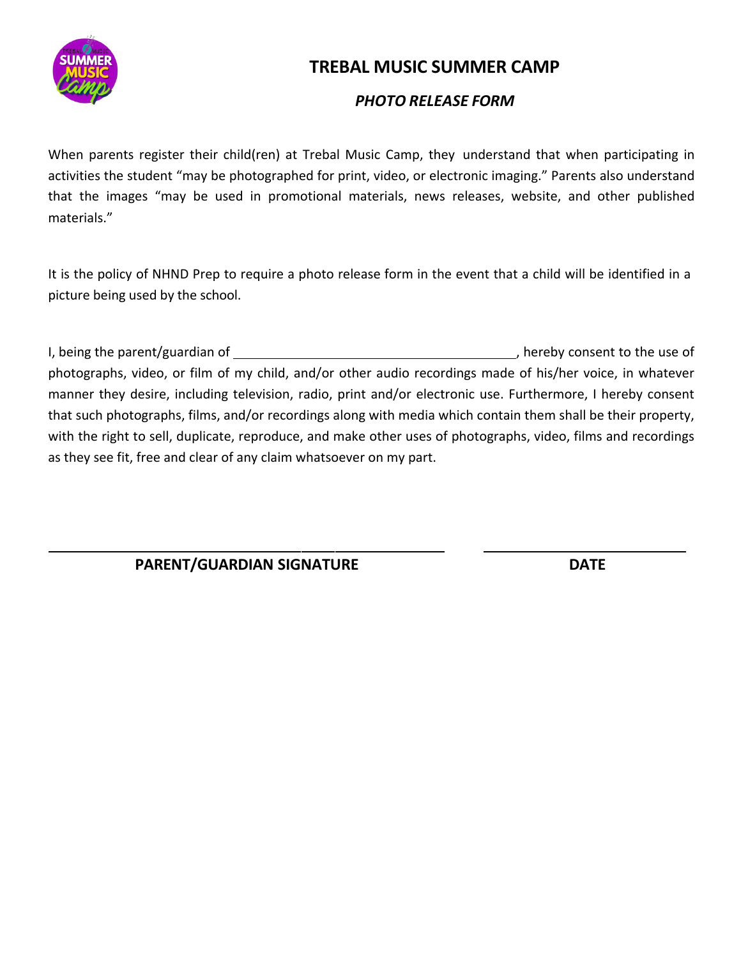

## **TREBAL MUSIC SUMMER CAMP**

#### *PHOTO RELEASE FORM*

When parents register their child(ren) at Trebal Music Camp, they understand that when participating in activities the student "may be photographed for print, video, or electronic imaging." Parents also understand that the images "may be used in promotional materials, news releases, website, and other published materials."

It is the policy of NHND Prep to require a photo release form in the event that a child will be identified in a picture being used by the school.

I, being the parent/guardian of  $\overline{\phantom{a}}$  , hereby consent to the use of photographs, video, or film of my child, and/or other audio recordings made of his/her voice, in whatever manner they desire, including television, radio, print and/or electronic use. Furthermore, I hereby consent that such photographs, films, and/or recordings along with media which contain them shall be their property, with the right to sell, duplicate, reproduce, and make other uses of photographs, video, films and recordings as they see fit, free and clear of any claim whatsoever on my part.

**PARENT/GUARDIAN SIGNATURE DATE**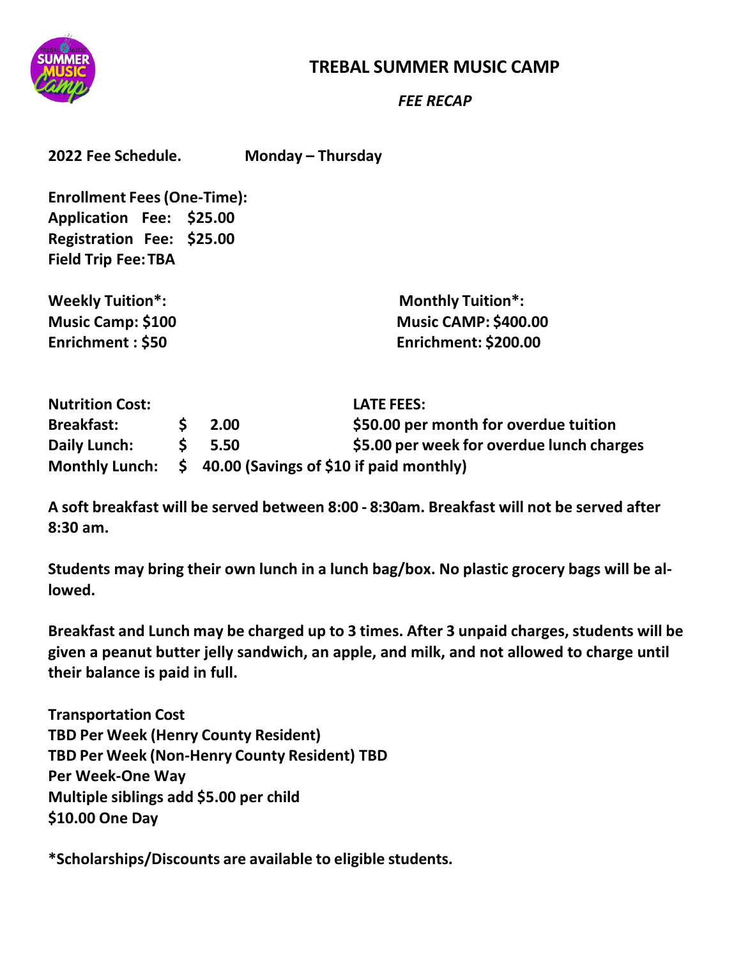

## **TREBAL SUMMER MUSIC CAMP**

*FEE RECAP*

| 2022 Fee Schedule. | Monday - Thursday |
|--------------------|-------------------|
|                    |                   |

**Enrollment Fees(One-Time): Application Fee: \$25.00 Registration Fee: \$25.00 Field Trip Fee:TBA**

**Weekly Tuition\*: Monthly Tuition\*:**

**Music Camp: \$100 Music CAMP: \$400.00 Enrichment : \$50 Enrichment: \$200.00**

| <b>Nutrition Cost:</b> |                                                                | <b>LATE FEES:</b>                         |
|------------------------|----------------------------------------------------------------|-------------------------------------------|
| <b>Breakfast:</b>      | 2.00                                                           | \$50.00 per month for overdue tuition     |
| Daily Lunch:           | 5.50                                                           | \$5.00 per week for overdue lunch charges |
|                        | Monthly Lunch: $\oint$ 40.00 (Savings of \$10 if paid monthly) |                                           |

**A soft breakfast will be served between 8:00 - 8:30am. Breakfast will not be served after 8:30 am.**

**Students may bring their own lunch in a lunch bag/box. No plastic grocery bags will be allowed.**

**Breakfast and Lunch may be charged up to 3 times. After 3 unpaid charges, students will be given a peanut butter jelly sandwich, an apple, and milk, and not allowed to charge until their balance is paid in full.**

**Transportation Cost TBD Per Week (Henry County Resident) TBD Per Week (Non-Henry County Resident) TBD Per Week-One Way Multiple siblings add \$5.00 per child \$10.00 One Day**

**\*Scholarships/Discounts are available to eligible students.**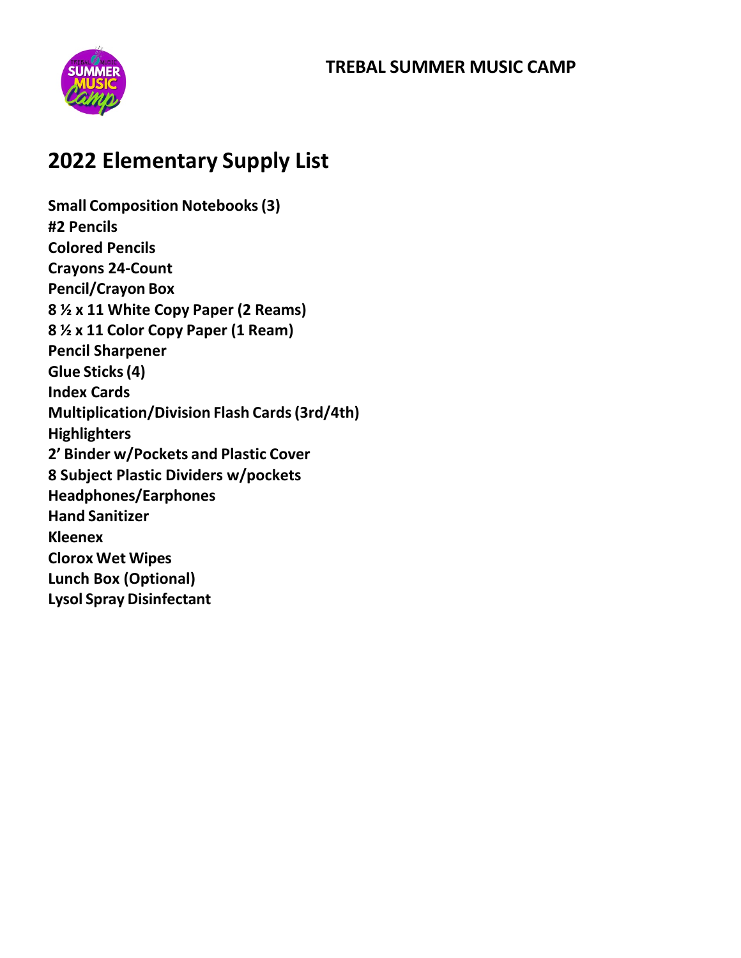## **TREBAL SUMMER MUSIC CAMP**



## **2022 Elementary Supply List**

**Small Composition Notebooks(3) #2 Pencils Colored Pencils Crayons 24-Count Pencil/Crayon Box 8 ½ x 11 White Copy Paper (2 Reams) 8 ½ x 11 Color Copy Paper (1 Ream) Pencil Sharpener Glue Sticks(4) Index Cards Multiplication/Division Flash Cards(3rd/4th) Highlighters 2' Binder w/Pockets and Plastic Cover 8 Subject Plastic Dividers w/pockets Headphones/Earphones Hand Sanitizer Kleenex Clorox Wet Wipes Lunch Box (Optional) Lysol Spray Disinfectant**